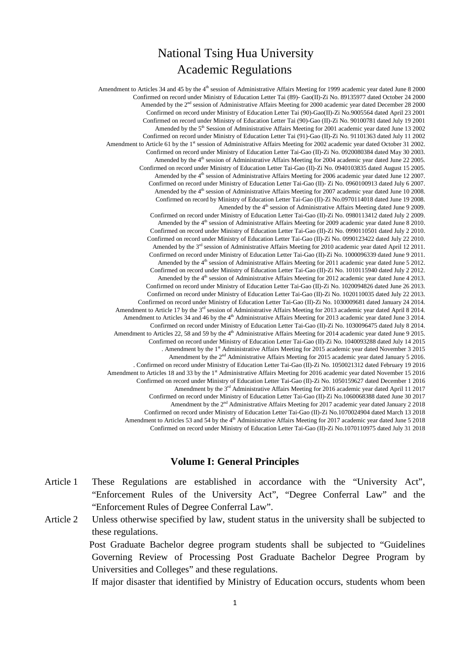# National Tsing Hua University Academic Regulations

Amendment to Articles 34 and 45 by the  $4<sup>th</sup>$  session of Administrative Affairs Meeting for 1999 academic year dated June 8 2000 Confirmed on record under Ministry of Education Letter Tai (89)- Gao(II)-Zi No. 89135977 dated October 24 2000 Amended by the 2<sup>nd</sup> session of Administrative Affairs Meeting for 2000 academic year dated December 28 2000 Confirmed on record under Ministry of Education Letter Tai (90)-Gao(II)-Zi No.9005564 dated April 23 2001 Confirmed on record under Ministry of Education Letter Tai (90)-Gao (II)-Zi No. 90100781 dated July 19 2001 Amended by the  $5<sup>th</sup>$  Session of Administrative Affairs Meeting for 2001 academic year dated June 13 2002 Confirmed on record under Ministry of Education Letter Tai (91)-Gao (II)-Zi No. 91101363 dated July 11 2002 Amendment to Article 61 by the 1<sup>st</sup> session of Administrative Affairs Meeting for 2002 academic year dated October 31 2002. Confirmed on record under Ministry of Education Letter Tai-Gao (II)-Zi No. 0920080384 dated May 30 2003. Amended by the 4<sup>th</sup> session of Administrative Affairs Meeting for 2004 academic year dated June 22 2005. Confirmed on record under Ministry of Education Letter Tai-Gao (II)-Zi No. 0940103835 dated August 15 2005. Amended by the 4<sup>th</sup> session of Administrative Affairs Meeting for 2006 academic year dated June 12 2007. Confirmed on record under Ministry of Education Letter Tai-Gao (II)- Zi No. 0960100913 dated July 6 2007. Amended by the  $4<sup>th</sup>$  session of Administrative Affairs Meeting for 2007 academic year dated June 10 2008. Confirmed on record by Ministry of Education Letter Tai-Gao (II)-Zi No.0970114018 dated June 19 2008. Amended by the 4<sup>th</sup> session of Administrative Affairs Meeting dated June 9 2009. Confirmed on record under Ministry of Education Letter Tai-Gao (II)-Zi No. 0980113412 dated July 2 2009. Amended by the  $4<sup>th</sup>$  session of Administrative Affairs Meeting for 2009 academic year dated June 8 2010. Confirmed on record under Ministry of Education Letter Tai-Gao (II)-Zi No. 0990110501 dated July 2 2010. Confirmed on record under Ministry of Education Letter Tai-Gao (II)-Zi No. 0990123422 dated July 22 2010. Amended by the 3<sup>rd</sup> session of Administrative Affairs Meeting for 2010 academic year dated April 12 2011. Confirmed on record under Ministry of Education Letter Tai-Gao (II)-Zi No. 1000096339 dated June 9 2011. Amended by the 4<sup>th</sup> session of Administrative Affairs Meeting for 2011 academic year dated June 5 2012. Confirmed on record under Ministry of Education Letter Tai-Gao (II)-Zi No. 1010115940 dated July 2 2012. Amended by the  $4<sup>th</sup>$  session of Administrative Affairs Meeting for 2012 academic year dated June 4 2013. Confirmed on record under Ministry of Education Letter Tai-Gao (II)-Zi No. 1020094826 dated June 26 2013. Confirmed on record under Ministry of Education Letter Tai-Gao (II)-Zi No. 1020110035 dated July 22 2013. Confirmed on record under Ministry of Education Letter Tai-Gao (II)-Zi No. 1030009681 dated January 24 2014. Amendment to Article 17 by the  $3<sup>rd</sup>$  session of Administrative Affairs Meeting for 2013 academic year dated April 8 2014. Amendment to Articles 34 and 46 by the 4<sup>th</sup> Administrative Affairs Meeting for 2013 academic year dated June 3 2014. Confirmed on record under Ministry of Education Letter Tai-Gao (II)-Zi No. 1030096475 dated July 8 2014. Amendment to Articles 22, 58 and 59 by the 4<sup>th</sup> Administrative Affairs Meeting for 2014 academic year dated June 9 2015. Confirmed on record under Ministry of Education Letter Tai-Gao (II)-Zi No. 1040093288 dated July 14 2015 . Amendment by the 1st Administrative Affairs Meeting for 2015 academic year dated November 3 2015 Amendment by the 2<sup>nd</sup> Administrative Affairs Meeting for 2015 academic year dated January 5 2016. . Confirmed on record under Ministry of Education Letter Tai-Gao (II)-Zi No. 1050021312 dated February 19 2016 Amendment to Articles 18 and 33 by the 1<sup>st</sup> Administrative Affairs Meeting for 2016 academic year dated November 15 2016 Confirmed on record under Ministry of Education Letter Tai-Gao (II)-Zi No. 1050159627 dated December 1 2016 Amendment by the 3<sup>rd</sup> Administrative Affairs Meeting for 2016 academic year dated April 11 2017 Confirmed on record under Ministry of Education Letter Tai-Gao (II)-Zi No.1060068388 dated June 30 2017 Amendment by the  $2<sup>nd</sup>$  Administrative Affairs Meeting for 2017 academic year dated January 2 2018 Confirmed on record under Ministry of Education Letter Tai-Gao (II)-Zi No.1070024904 dated March 13 2018 Amendment to Articles 53 and 54 by the 4<sup>th</sup> Administrative Affairs Meeting for 2017 academic year dated June 5 2018 Confirmed on record under Ministry of Education Letter Tai-Gao (II)-Zi No.1070110975 dated July 31 2018

## **Volume I: General Principles**

- Article 1 These Regulations are established in accordance with the "University Act", "Enforcement Rules of the University Act", "Degree Conferral Law" and the "Enforcement Rules of Degree Conferral Law".
- Article 2 Unless otherwise specified by law, student status in the university shall be subjected to these regulations.

Post Graduate Bachelor degree program students shall be subjected to "Guidelines Governing Review of Processing Post Graduate Bachelor Degree Program by Universities and Colleges" and these regulations.

If major disaster that identified by Ministry of Education occurs, students whom been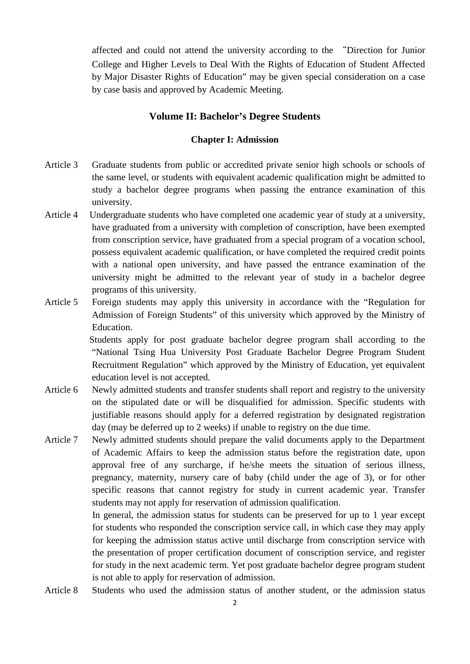affected and could not attend the university according to the "Direction for Junior College and Higher Levels to Deal With the Rights of Education of Student Affected by Major Disaster Rights of Education" may be given special consideration on a case by case basis and approved by Academic Meeting.

## **Volume II: Bachelor's Degree Students**

## **Chapter I: Admission**

- Article 3 Graduate students from public or accredited private senior high schools or schools of the same level, or students with equivalent academic qualification might be admitted to study a bachelor degree programs when passing the entrance examination of this university.
- Article 4 Undergraduate students who have completed one academic year of study at a university, have graduated from a university with completion of conscription, have been exempted from conscription service, have graduated from a special program of a vocation school, possess equivalent academic qualification, or have completed the required credit points with a national open university, and have passed the entrance examination of the university might be admitted to the relevant year of study in a bachelor degree programs of this university.
- Article 5 Foreign students may apply this university in accordance with the "Regulation for Admission of Foreign Students" of this university which approved by the Ministry of Education.

Students apply for post graduate bachelor degree program shall according to the "National Tsing Hua University Post Graduate Bachelor Degree Program Student Recruitment Regulation" which approved by the Ministry of Education, yet equivalent education level is not accepted.

- Article 6 Newly admitted students and transfer students shall report and registry to the university on the stipulated date or will be disqualified for admission. Specific students with justifiable reasons should apply for a deferred registration by designated registration day (may be deferred up to 2 weeks) if unable to registry on the due time.
- Article 7 Newly admitted students should prepare the valid documents apply to the Department of Academic Affairs to keep the admission status before the registration date, upon approval free of any surcharge, if he/she meets the situation of serious illness, pregnancy, maternity, nursery care of baby (child under the age of 3), or for other specific reasons that cannot registry for study in current academic year. Transfer students may not apply for reservation of admission qualification.

In general, the admission status for students can be preserved for up to 1 year except for students who responded the conscription service call, in which case they may apply for keeping the admission status active until discharge from conscription service with the presentation of proper certification document of conscription service, and register for study in the next academic term. Yet post graduate bachelor degree program student is not able to apply for reservation of admission.

Article 8 Students who used the admission status of another student, or the admission status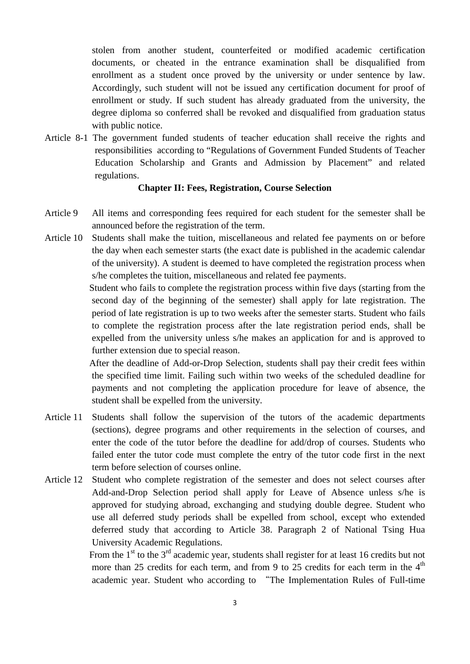stolen from another student, counterfeited or modified academic certification documents, or cheated in the entrance examination shall be disqualified from enrollment as a student once proved by the university or under sentence by law. Accordingly, such student will not be issued any certification document for proof of enrollment or study. If such student has already graduated from the university, the degree diploma so conferred shall be revoked and disqualified from graduation status with public notice.

Article 8-1 The government funded students of teacher education shall receive the rights and responsibilities according to "Regulations of Government Funded Students of Teacher Education Scholarship and Grants and Admission by Placement" and related regulations.

#### **Chapter II: Fees, Registration, Course Selection**

- Article 9 All items and corresponding fees required for each student for the semester shall be announced before the registration of the term.
- Article 10 Students shall make the tuition, miscellaneous and related fee payments on or before the day when each semester starts (the exact date is published in the academic calendar of the university). A student is deemed to have completed the registration process when s/he completes the tuition, miscellaneous and related fee payments.

Student who fails to complete the registration process within five days (starting from the second day of the beginning of the semester) shall apply for late registration. The period of late registration is up to two weeks after the semester starts. Student who fails to complete the registration process after the late registration period ends, shall be expelled from the university unless s/he makes an application for and is approved to further extension due to special reason.

After the deadline of Add-or-Drop Selection, students shall pay their credit fees within the specified time limit. Failing such within two weeks of the scheduled deadline for payments and not completing the application procedure for leave of absence, the student shall be expelled from the university.

- Article 11 Students shall follow the supervision of the tutors of the academic departments (sections), degree programs and other requirements in the selection of courses, and enter the code of the tutor before the deadline for add/drop of courses. Students who failed enter the tutor code must complete the entry of the tutor code first in the next term before selection of courses online.
- Article 12 Student who complete registration of the semester and does not select courses after Add-and-Drop Selection period shall apply for Leave of Absence unless s/he is approved for studying abroad, exchanging and studying double degree. Student who use all deferred study periods shall be expelled from school, except who extended deferred study that according to Article 38. Paragraph 2 of National Tsing Hua University Academic Regulations.

From the  $1<sup>st</sup>$  to the  $3<sup>rd</sup>$  academic year, students shall register for at least 16 credits but not more than 25 credits for each term, and from 9 to 25 credits for each term in the  $4<sup>th</sup>$ academic year. Student who according to "The Implementation Rules of Full-time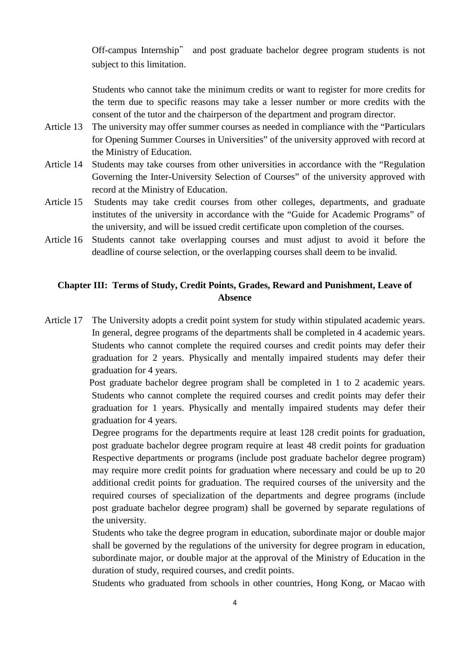Off-campus Internship" and post graduate bachelor degree program students is not subject to this limitation.

Students who cannot take the minimum credits or want to register for more credits for the term due to specific reasons may take a lesser number or more credits with the consent of the tutor and the chairperson of the department and program director.

- Article 13 The university may offer summer courses as needed in compliance with the "Particulars for Opening Summer Courses in Universities" of the university approved with record at the Ministry of Education.
- Article 14 Students may take courses from other universities in accordance with the "Regulation Governing the Inter-University Selection of Courses" of the university approved with record at the Ministry of Education.
- Article 15 Students may take credit courses from other colleges, departments, and graduate institutes of the university in accordance with the "Guide for Academic Programs" of the university, and will be issued credit certificate upon completion of the courses.
- Article 16 Students cannot take overlapping courses and must adjust to avoid it before the deadline of course selection, or the overlapping courses shall deem to be invalid.

# **Chapter III: Terms of Study, Credit Points, Grades, Reward and Punishment, Leave of Absence**

Article 17 The University adopts a credit point system for study within stipulated academic years. In general, degree programs of the departments shall be completed in 4 academic years. Students who cannot complete the required courses and credit points may defer their graduation for 2 years. Physically and mentally impaired students may defer their graduation for 4 years.

> Post graduate bachelor degree program shall be completed in 1 to 2 academic years. Students who cannot complete the required courses and credit points may defer their graduation for 1 years. Physically and mentally impaired students may defer their graduation for 4 years.

> Degree programs for the departments require at least 128 credit points for graduation, post graduate bachelor degree program require at least 48 credit points for graduation Respective departments or programs (include post graduate bachelor degree program) may require more credit points for graduation where necessary and could be up to 20 additional credit points for graduation. The required courses of the university and the required courses of specialization of the departments and degree programs (include post graduate bachelor degree program) shall be governed by separate regulations of the university.

> Students who take the degree program in education, subordinate major or double major shall be governed by the regulations of the university for degree program in education, subordinate major, or double major at the approval of the Ministry of Education in the duration of study, required courses, and credit points.

> Students who graduated from schools in other countries, Hong Kong, or Macao with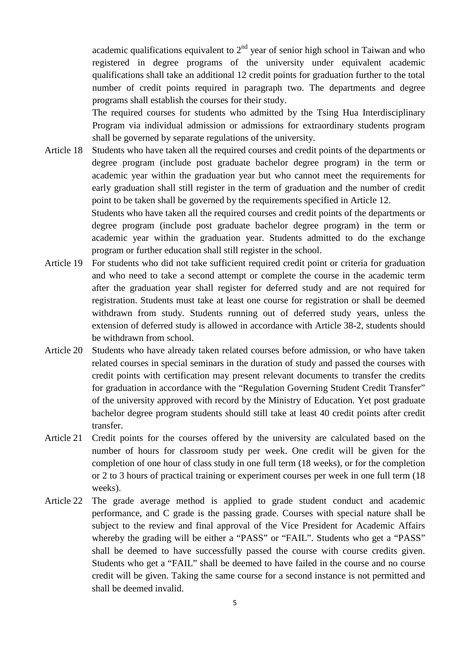academic qualifications equivalent to  $2<sup>nd</sup>$  year of senior high school in Taiwan and who registered in degree programs of the university under equivalent academic qualifications shall take an additional 12 credit points for graduation further to the total number of credit points required in paragraph two. The departments and degree programs shall establish the courses for their study.

The required courses for students who admitted by the Tsing Hua Interdisciplinary Program via individual admission or admissions for extraordinary students program shall be governed by separate regulations of the university.

Article 18 Students who have taken all the required courses and credit points of the departments or degree program (include post graduate bachelor degree program) in the term or academic year within the graduation year but who cannot meet the requirements for early graduation shall still register in the term of graduation and the number of credit point to be taken shall be governed by the requirements specified in Article 12.

Students who have taken all the required courses and credit points of the departments or degree program (include post graduate bachelor degree program) in the term or academic year within the graduation year. Students admitted to do the exchange program or further education shall still register in the school.

- Article 19 For students who did not take sufficient required credit point or criteria for graduation and who need to take a second attempt or complete the course in the academic term after the graduation year shall register for deferred study and are not required for registration. Students must take at least one course for registration or shall be deemed withdrawn from study. Students running out of deferred study years, unless the extension of deferred study is allowed in accordance with Article 38-2, students should be withdrawn from school.
- Article 20 Students who have already taken related courses before admission, or who have taken related courses in special seminars in the duration of study and passed the courses with credit points with certification may present relevant documents to transfer the credits for graduation in accordance with the "Regulation Governing Student Credit Transfer" of the university approved with record by the Ministry of Education. Yet post graduate bachelor degree program students should still take at least 40 credit points after credit transfer.
- Article 21 Credit points for the courses offered by the university are calculated based on the number of hours for classroom study per week. One credit will be given for the completion of one hour of class study in one full term (18 weeks), or for the completion or 2 to 3 hours of practical training or experiment courses per week in one full term (18 weeks).
- Article 22 The grade average method is applied to grade student conduct and academic performance, and C grade is the passing grade. Courses with special nature shall be subject to the review and final approval of the Vice President for Academic Affairs whereby the grading will be either a "PASS" or "FAIL". Students who get a "PASS" shall be deemed to have successfully passed the course with course credits given. Students who get a "FAIL" shall be deemed to have failed in the course and no course credit will be given. Taking the same course for a second instance is not permitted and shall be deemed invalid.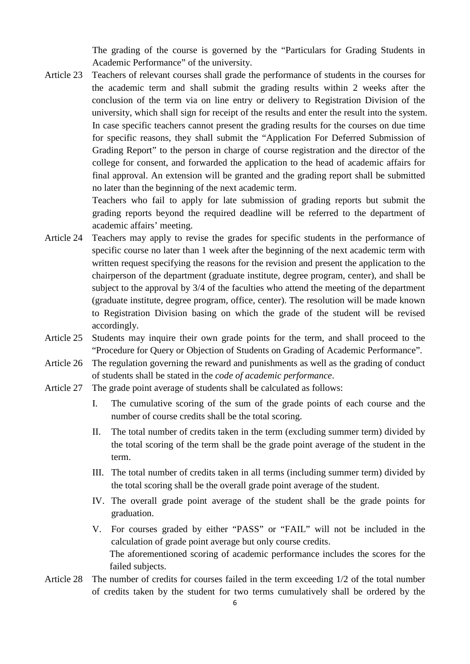The grading of the course is governed by the "Particulars for Grading Students in Academic Performance" of the university.

Article 23 Teachers of relevant courses shall grade the performance of students in the courses for the academic term and shall submit the grading results within 2 weeks after the conclusion of the term via on line entry or delivery to Registration Division of the university, which shall sign for receipt of the results and enter the result into the system. In case specific teachers cannot present the grading results for the courses on due time for specific reasons, they shall submit the "Application For Deferred Submission of Grading Report" to the person in charge of course registration and the director of the college for consent, and forwarded the application to the head of academic affairs for final approval. An extension will be granted and the grading report shall be submitted no later than the beginning of the next academic term.

> Teachers who fail to apply for late submission of grading reports but submit the grading reports beyond the required deadline will be referred to the department of academic affairs' meeting.

- Article 24 Teachers may apply to revise the grades for specific students in the performance of specific course no later than 1 week after the beginning of the next academic term with written request specifying the reasons for the revision and present the application to the chairperson of the department (graduate institute, degree program, center), and shall be subject to the approval by  $3/4$  of the faculties who attend the meeting of the department (graduate institute, degree program, office, center). The resolution will be made known to Registration Division basing on which the grade of the student will be revised accordingly.
- Article 25 Students may inquire their own grade points for the term, and shall proceed to the "Procedure for Query or Objection of Students on Grading of Academic Performance".
- Article 26 The regulation governing the reward and punishments as well as the grading of conduct of students shall be stated in the *code of academic performance*.
- Article 27 The grade point average of students shall be calculated as follows:
	- I. The cumulative scoring of the sum of the grade points of each course and the number of course credits shall be the total scoring.
	- II. The total number of credits taken in the term (excluding summer term) divided by the total scoring of the term shall be the grade point average of the student in the term.
	- III. The total number of credits taken in all terms (including summer term) divided by the total scoring shall be the overall grade point average of the student.
	- IV. The overall grade point average of the student shall be the grade points for graduation.
	- V. For courses graded by either "PASS" or "FAIL" will not be included in the calculation of grade point average but only course credits. The aforementioned scoring of academic performance includes the scores for the failed subjects.
- Article 28 The number of credits for courses failed in the term exceeding 1/2 of the total number of credits taken by the student for two terms cumulatively shall be ordered by the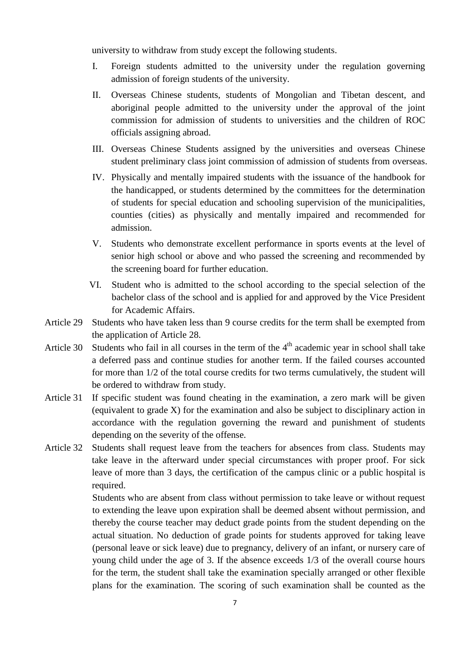university to withdraw from study except the following students.

- I. Foreign students admitted to the university under the regulation governing admission of foreign students of the university.
- II. Overseas Chinese students, students of Mongolian and Tibetan descent, and aboriginal people admitted to the university under the approval of the joint commission for admission of students to universities and the children of ROC officials assigning abroad.
- III. Overseas Chinese Students assigned by the universities and overseas Chinese student preliminary class joint commission of admission of students from overseas.
- IV. Physically and mentally impaired students with the issuance of the handbook for the handicapped, or students determined by the committees for the determination of students for special education and schooling supervision of the municipalities, counties (cities) as physically and mentally impaired and recommended for admission.
- V. Students who demonstrate excellent performance in sports events at the level of senior high school or above and who passed the screening and recommended by the screening board for further education.
- VI. Student who is admitted to the school according to the special selection of the bachelor class of the school and is applied for and approved by the Vice President for Academic Affairs.
- Article 29 Students who have taken less than 9 course credits for the term shall be exempted from the application of Article 28.
- Article 30 Students who fail in all courses in the term of the  $4<sup>th</sup>$  academic year in school shall take a deferred pass and continue studies for another term. If the failed courses accounted for more than 1/2 of the total course credits for two terms cumulatively, the student will be ordered to withdraw from study.
- Article 31 If specific student was found cheating in the examination, a zero mark will be given (equivalent to grade X) for the examination and also be subject to disciplinary action in accordance with the regulation governing the reward and punishment of students depending on the severity of the offense.
- Article 32 Students shall request leave from the teachers for absences from class. Students may take leave in the afterward under special circumstances with proper proof. For sick leave of more than 3 days, the certification of the campus clinic or a public hospital is required.

Students who are absent from class without permission to take leave or without request to extending the leave upon expiration shall be deemed absent without permission, and thereby the course teacher may deduct grade points from the student depending on the actual situation. No deduction of grade points for students approved for taking leave (personal leave or sick leave) due to pregnancy, delivery of an infant, or nursery care of young child under the age of 3. If the absence exceeds 1/3 of the overall course hours for the term, the student shall take the examination specially arranged or other flexible plans for the examination. The scoring of such examination shall be counted as the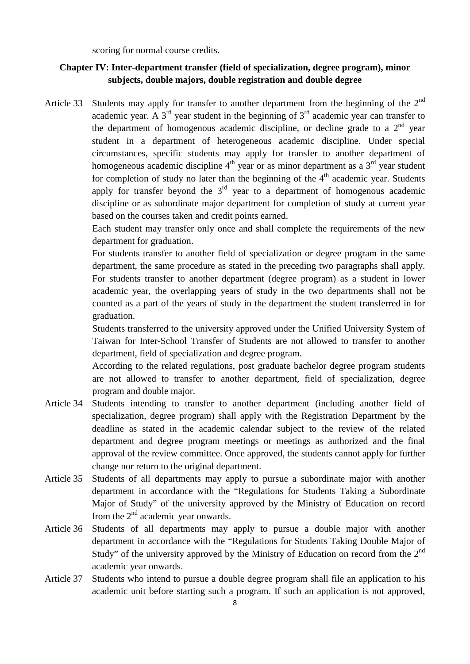scoring for normal course credits.

## **Chapter IV: Inter-department transfer (field of specialization, degree program), minor subjects, double majors, double registration and double degree**

Article 33 Students may apply for transfer to another department from the beginning of the  $2<sup>nd</sup>$ academic year. A  $3<sup>rd</sup>$  year student in the beginning of  $3<sup>rd</sup>$  academic year can transfer to the department of homogenous academic discipline, or decline grade to a  $2<sup>nd</sup>$  year student in a department of heterogeneous academic discipline. Under special circumstances, specific students may apply for transfer to another department of homogeneous academic discipline  $4<sup>th</sup>$  year or as minor department as a  $3<sup>rd</sup>$  year student for completion of study no later than the beginning of the  $4<sup>th</sup>$  academic year. Students apply for transfer beyond the  $3<sup>rd</sup>$  year to a department of homogenous academic discipline or as subordinate major department for completion of study at current year based on the courses taken and credit points earned.

> Each student may transfer only once and shall complete the requirements of the new department for graduation.

> For students transfer to another field of specialization or degree program in the same department, the same procedure as stated in the preceding two paragraphs shall apply. For students transfer to another department (degree program) as a student in lower academic year, the overlapping years of study in the two departments shall not be counted as a part of the years of study in the department the student transferred in for graduation.

> Students transferred to the university approved under the Unified University System of Taiwan for Inter-School Transfer of Students are not allowed to transfer to another department, field of specialization and degree program.

> According to the related regulations, post graduate bachelor degree program students are not allowed to transfer to another department, field of specialization, degree program and double major.

- Article 34 Students intending to transfer to another department (including another field of specialization, degree program) shall apply with the Registration Department by the deadline as stated in the academic calendar subject to the review of the related department and degree program meetings or meetings as authorized and the final approval of the review committee. Once approved, the students cannot apply for further change nor return to the original department.
- Article 35 Students of all departments may apply to pursue a subordinate major with another department in accordance with the "Regulations for Students Taking a Subordinate Major of Study" of the university approved by the Ministry of Education on record from the  $2<sup>nd</sup>$  academic year onwards.
- Article 36 Students of all departments may apply to pursue a double major with another department in accordance with the "Regulations for Students Taking Double Major of Study" of the university approved by the Ministry of Education on record from the 2<sup>nd</sup> academic year onwards.
- Article 37 Students who intend to pursue a double degree program shall file an application to his academic unit before starting such a program. If such an application is not approved,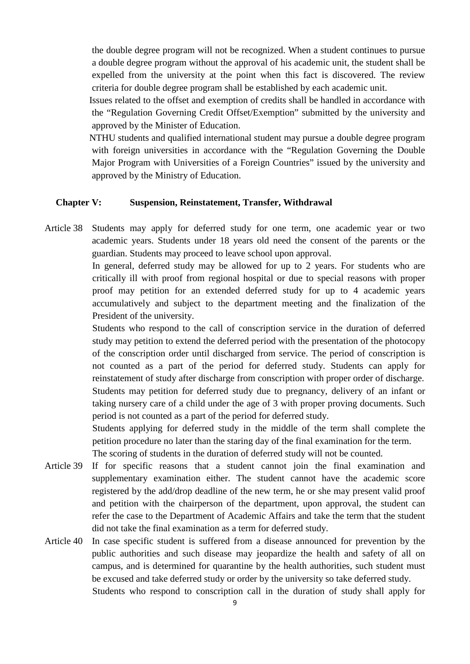the double degree program will not be recognized. When a student continues to pursue a double degree program without the approval of his academic unit, the student shall be expelled from the university at the point when this fact is discovered. The review criteria for double degree program shall be established by each academic unit.

Issues related to the offset and exemption of credits shall be handled in accordance with the "Regulation Governing Credit Offset/Exemption" submitted by the university and approved by the Minister of Education.

NTHU students and qualified international student may pursue a double degree program with foreign universities in accordance with the "Regulation Governing the Double Major Program with Universities of a Foreign Countries" issued by the university and approved by the Ministry of Education.

## **Chapter V: Suspension, Reinstatement, Transfer, Withdrawal**

Article 38 Students may apply for deferred study for one term, one academic year or two academic years. Students under 18 years old need the consent of the parents or the guardian. Students may proceed to leave school upon approval.

> In general, deferred study may be allowed for up to 2 years. For students who are critically ill with proof from regional hospital or due to special reasons with proper proof may petition for an extended deferred study for up to 4 academic years accumulatively and subject to the department meeting and the finalization of the President of the university.

> Students who respond to the call of conscription service in the duration of deferred study may petition to extend the deferred period with the presentation of the photocopy of the conscription order until discharged from service. The period of conscription is not counted as a part of the period for deferred study. Students can apply for reinstatement of study after discharge from conscription with proper order of discharge. Students may petition for deferred study due to pregnancy, delivery of an infant or taking nursery care of a child under the age of 3 with proper proving documents. Such period is not counted as a part of the period for deferred study.

> Students applying for deferred study in the middle of the term shall complete the petition procedure no later than the staring day of the final examination for the term. The scoring of students in the duration of deferred study will not be counted.

- Article 39 If for specific reasons that a student cannot join the final examination and supplementary examination either. The student cannot have the academic score registered by the add/drop deadline of the new term, he or she may present valid proof and petition with the chairperson of the department, upon approval, the student can refer the case to the Department of Academic Affairs and take the term that the student did not take the final examination as a term for deferred study.
- Article 40 In case specific student is suffered from a disease announced for prevention by the public authorities and such disease may jeopardize the health and safety of all on campus, and is determined for quarantine by the health authorities, such student must be excused and take deferred study or order by the university so take deferred study. Students who respond to conscription call in the duration of study shall apply for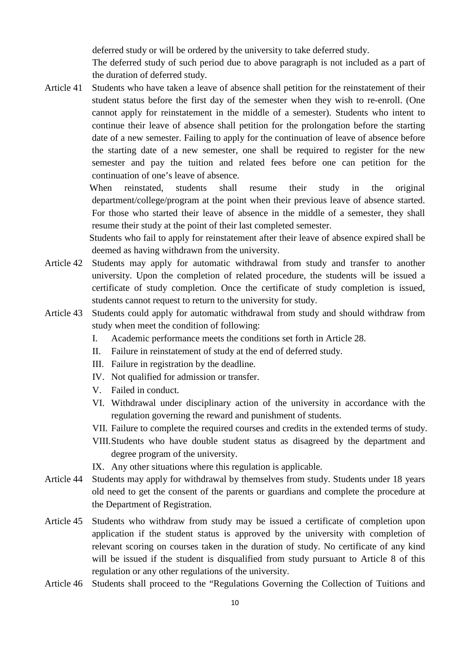deferred study or will be ordered by the university to take deferred study.

The deferred study of such period due to above paragraph is not included as a part of the duration of deferred study.

Article 41 Students who have taken a leave of absence shall petition for the reinstatement of their student status before the first day of the semester when they wish to re-enroll. (One cannot apply for reinstatement in the middle of a semester). Students who intent to continue their leave of absence shall petition for the prolongation before the starting date of a new semester. Failing to apply for the continuation of leave of absence before the starting date of a new semester, one shall be required to register for the new semester and pay the tuition and related fees before one can petition for the continuation of one's leave of absence.

> When reinstated, students shall resume their study in the original department/college/program at the point when their previous leave of absence started. For those who started their leave of absence in the middle of a semester, they shall resume their study at the point of their last completed semester.

> Students who fail to apply for reinstatement after their leave of absence expired shall be deemed as having withdrawn from the university.

- Article 42 Students may apply for automatic withdrawal from study and transfer to another university. Upon the completion of related procedure, the students will be issued a certificate of study completion. Once the certificate of study completion is issued, students cannot request to return to the university for study.
- Article 43 Students could apply for automatic withdrawal from study and should withdraw from study when meet the condition of following:
	- I. Academic performance meets the conditions set forth in Article 28.
	- II. Failure in reinstatement of study at the end of deferred study.
	- III. Failure in registration by the deadline.
	- IV. Not qualified for admission or transfer.
	- V. Failed in conduct.
	- VI. Withdrawal under disciplinary action of the university in accordance with the regulation governing the reward and punishment of students.
	- VII. Failure to complete the required courses and credits in the extended terms of study.
	- VIII.Students who have double student status as disagreed by the department and degree program of the university.
	- IX. Any other situations where this regulation is applicable.
- Article 44 Students may apply for withdrawal by themselves from study. Students under 18 years old need to get the consent of the parents or guardians and complete the procedure at the Department of Registration.
- Article 45 Students who withdraw from study may be issued a certificate of completion upon application if the student status is approved by the university with completion of relevant scoring on courses taken in the duration of study. No certificate of any kind will be issued if the student is disqualified from study pursuant to Article 8 of this regulation or any other regulations of the university.
- Article 46 Students shall proceed to the "Regulations Governing the Collection of Tuitions and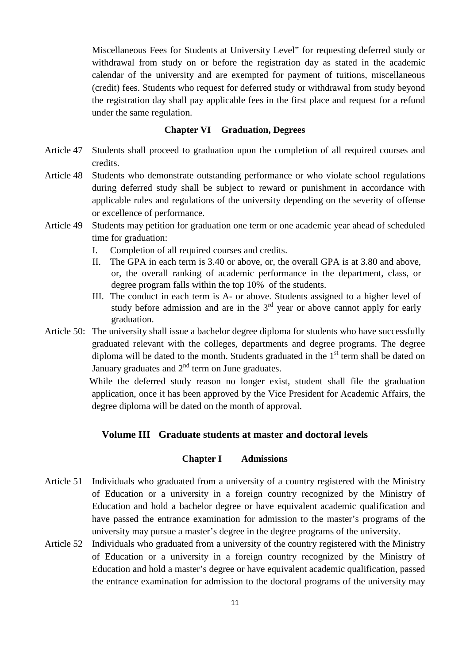Miscellaneous Fees for Students at University Level" for requesting deferred study or withdrawal from study on or before the registration day as stated in the academic calendar of the university and are exempted for payment of tuitions, miscellaneous (credit) fees. Students who request for deferred study or withdrawal from study beyond the registration day shall pay applicable fees in the first place and request for a refund under the same regulation.

#### **Chapter VI Graduation, Degrees**

- Article 47 Students shall proceed to graduation upon the completion of all required courses and credits.
- Article 48 Students who demonstrate outstanding performance or who violate school regulations during deferred study shall be subject to reward or punishment in accordance with applicable rules and regulations of the university depending on the severity of offense or excellence of performance.
- Article 49 Students may petition for graduation one term or one academic year ahead of scheduled time for graduation:
	- I. Completion of all required courses and credits.
	- II. The GPA in each term is 3.40 or above, or, the overall GPA is at 3.80 and above, or, the overall ranking of academic performance in the department, class, or degree program falls within the top 10% of the students.
	- III. The conduct in each term is A- or above. Students assigned to a higher level of study before admission and are in the  $3<sup>rd</sup>$  year or above cannot apply for early graduation.
- Article 50: The university shall issue a bachelor degree diploma for students who have successfully graduated relevant with the colleges, departments and degree programs. The degree diploma will be dated to the month. Students graduated in the  $1<sup>st</sup>$  term shall be dated on January graduates and  $2<sup>nd</sup>$  term on June graduates.

While the deferred study reason no longer exist, student shall file the graduation application, once it has been approved by the Vice President for Academic Affairs, the degree diploma will be dated on the month of approval.

## **Volume III Graduate students at master and doctoral levels**

## **Chapter I Admissions**

- Article 51 Individuals who graduated from a university of a country registered with the Ministry of Education or a university in a foreign country recognized by the Ministry of Education and hold a bachelor degree or have equivalent academic qualification and have passed the entrance examination for admission to the master's programs of the university may pursue a master's degree in the degree programs of the university.
- Article 52 Individuals who graduated from a university of the country registered with the Ministry of Education or a university in a foreign country recognized by the Ministry of Education and hold a master's degree or have equivalent academic qualification, passed the entrance examination for admission to the doctoral programs of the university may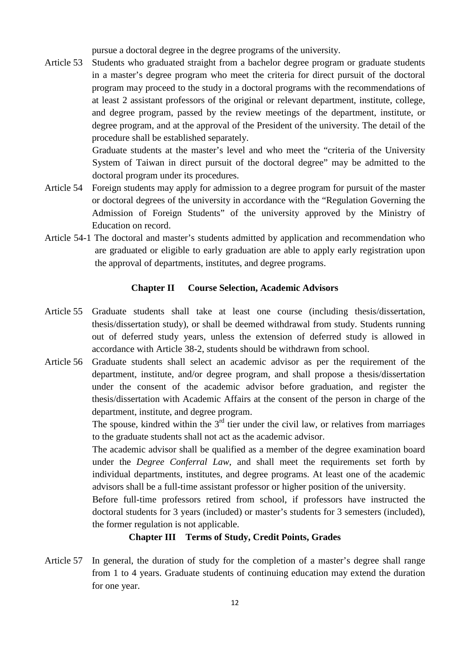pursue a doctoral degree in the degree programs of the university.

Article 53 Students who graduated straight from a bachelor degree program or graduate students in a master's degree program who meet the criteria for direct pursuit of the doctoral program may proceed to the study in a doctoral programs with the recommendations of at least 2 assistant professors of the original or relevant department, institute, college, and degree program, passed by the review meetings of the department, institute, or degree program, and at the approval of the President of the university. The detail of the procedure shall be established separately.

> Graduate students at the master's level and who meet the "criteria of the University System of Taiwan in direct pursuit of the doctoral degree" may be admitted to the doctoral program under its procedures.

- Article 54 Foreign students may apply for admission to a degree program for pursuit of the master or doctoral degrees of the university in accordance with the "Regulation Governing the Admission of Foreign Students" of the university approved by the Ministry of Education on record.
- Article 54-1 The doctoral and master's students admitted by application and recommendation who are graduated or eligible to early graduation are able to apply early registration upon the approval of departments, institutes, and degree programs.

#### **Chapter II Course Selection, Academic Advisors**

- Article 55 Graduate students shall take at least one course (including thesis/dissertation, thesis/dissertation study), or shall be deemed withdrawal from study. Students running out of deferred study years, unless the extension of deferred study is allowed in accordance with Article 38-2, students should be withdrawn from school.
- Article 56 Graduate students shall select an academic advisor as per the requirement of the department, institute, and/or degree program, and shall propose a thesis/dissertation under the consent of the academic advisor before graduation, and register the thesis/dissertation with Academic Affairs at the consent of the person in charge of the department, institute, and degree program.

The spouse, kindred within the  $3<sup>rd</sup>$  tier under the civil law, or relatives from marriages to the graduate students shall not act as the academic advisor.

The academic advisor shall be qualified as a member of the degree examination board under the *Degree Conferral Law*, and shall meet the requirements set forth by individual departments, institutes, and degree programs. At least one of the academic advisors shall be a full-time assistant professor or higher position of the university.

Before full-time professors retired from school, if professors have instructed the doctoral students for 3 years (included) or master's students for 3 semesters (included), the former regulation is not applicable.

#### **Chapter III Terms of Study, Credit Points, Grades**

Article 57 In general, the duration of study for the completion of a master's degree shall range from 1 to 4 years. Graduate students of continuing education may extend the duration for one year.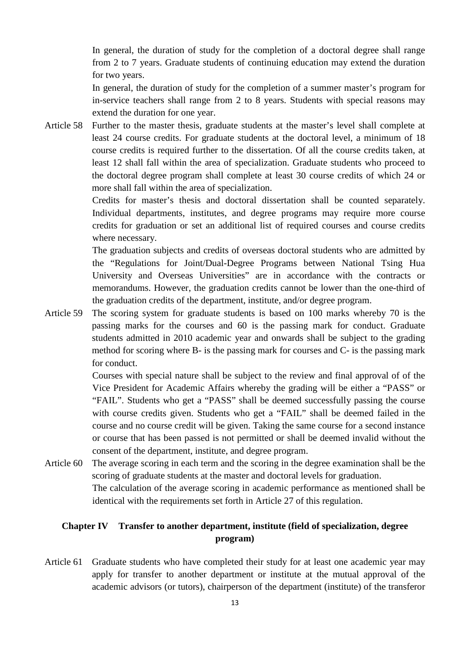In general, the duration of study for the completion of a doctoral degree shall range from 2 to 7 years. Graduate students of continuing education may extend the duration for two years.

In general, the duration of study for the completion of a summer master's program for in-service teachers shall range from 2 to 8 years. Students with special reasons may extend the duration for one year.

Article 58 Further to the master thesis, graduate students at the master's level shall complete at least 24 course credits. For graduate students at the doctoral level, a minimum of 18 course credits is required further to the dissertation. Of all the course credits taken, at least 12 shall fall within the area of specialization. Graduate students who proceed to the doctoral degree program shall complete at least 30 course credits of which 24 or more shall fall within the area of specialization.

> Credits for master's thesis and doctoral dissertation shall be counted separately. Individual departments, institutes, and degree programs may require more course credits for graduation or set an additional list of required courses and course credits where necessary.

> The graduation subjects and credits of overseas doctoral students who are admitted by the "Regulations for Joint/Dual-Degree Programs between National Tsing Hua University and Overseas Universities" are in accordance with the contracts or memorandums. However, the graduation credits cannot be lower than the one-third of the graduation credits of the department, institute, and/or degree program.

Article 59 The scoring system for graduate students is based on 100 marks whereby 70 is the passing marks for the courses and 60 is the passing mark for conduct. Graduate students admitted in 2010 academic year and onwards shall be subject to the grading method for scoring where B- is the passing mark for courses and C- is the passing mark for conduct.

> Courses with special nature shall be subject to the review and final approval of of the Vice President for Academic Affairs whereby the grading will be either a "PASS" or "FAIL". Students who get a "PASS" shall be deemed successfully passing the course with course credits given. Students who get a "FAIL" shall be deemed failed in the course and no course credit will be given. Taking the same course for a second instance or course that has been passed is not permitted or shall be deemed invalid without the consent of the department, institute, and degree program.

Article 60 The average scoring in each term and the scoring in the degree examination shall be the scoring of graduate students at the master and doctoral levels for graduation. The calculation of the average scoring in academic performance as mentioned shall be identical with the requirements set forth in Article 27 of this regulation.

## **Chapter IV Transfer to another department, institute (field of specialization, degree program)**

Article 61 Graduate students who have completed their study for at least one academic year may apply for transfer to another department or institute at the mutual approval of the academic advisors (or tutors), chairperson of the department (institute) of the transferor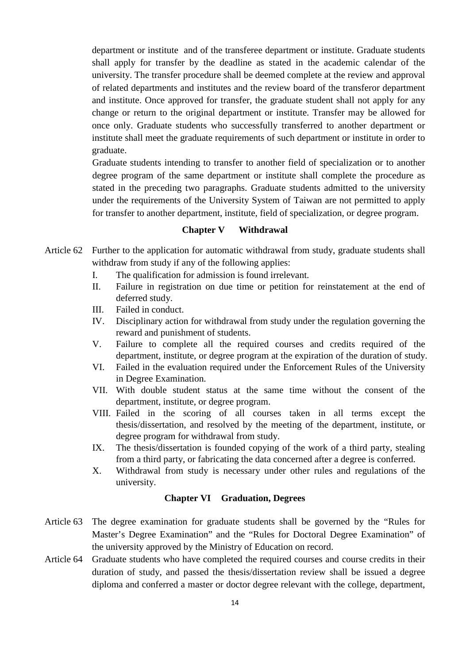department or institute and of the transferee department or institute. Graduate students shall apply for transfer by the deadline as stated in the academic calendar of the university. The transfer procedure shall be deemed complete at the review and approval of related departments and institutes and the review board of the transferor department and institute. Once approved for transfer, the graduate student shall not apply for any change or return to the original department or institute. Transfer may be allowed for once only. Graduate students who successfully transferred to another department or institute shall meet the graduate requirements of such department or institute in order to graduate.

Graduate students intending to transfer to another field of specialization or to another degree program of the same department or institute shall complete the procedure as stated in the preceding two paragraphs. Graduate students admitted to the university under the requirements of the University System of Taiwan are not permitted to apply for transfer to another department, institute, field of specialization, or degree program.

#### **Chapter V Withdrawal**

- Article 62 Further to the application for automatic withdrawal from study, graduate students shall withdraw from study if any of the following applies:
	- I. The qualification for admission is found irrelevant.
	- II. Failure in registration on due time or petition for reinstatement at the end of deferred study.
	- III. Failed in conduct.
	- IV. Disciplinary action for withdrawal from study under the regulation governing the reward and punishment of students.
	- V. Failure to complete all the required courses and credits required of the department, institute, or degree program at the expiration of the duration of study.
	- VI. Failed in the evaluation required under the Enforcement Rules of the University in Degree Examination.
	- VII. With double student status at the same time without the consent of the department, institute, or degree program.
	- VIII. Failed in the scoring of all courses taken in all terms except the thesis/dissertation, and resolved by the meeting of the department, institute, or degree program for withdrawal from study.
	- IX. The thesis/dissertation is founded copying of the work of a third party, stealing from a third party, or fabricating the data concerned after a degree is conferred.
	- X. Withdrawal from study is necessary under other rules and regulations of the university.

#### **Chapter VI Graduation, Degrees**

- Article 63 The degree examination for graduate students shall be governed by the "Rules for Master's Degree Examination" and the "Rules for Doctoral Degree Examination" of the university approved by the Ministry of Education on record.
- Article 64 Graduate students who have completed the required courses and course credits in their duration of study, and passed the thesis/dissertation review shall be issued a degree diploma and conferred a master or doctor degree relevant with the college, department,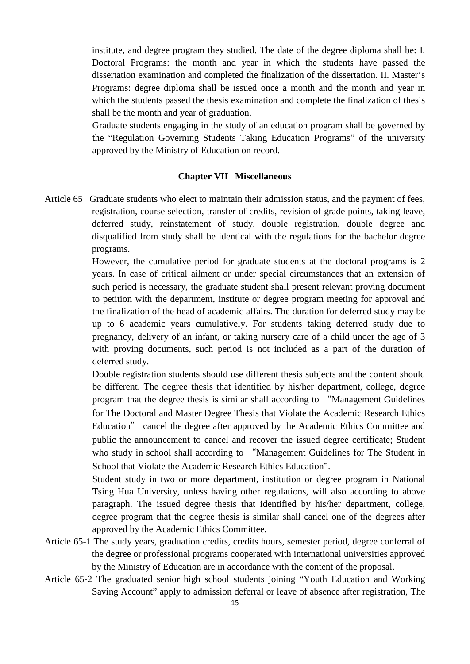institute, and degree program they studied. The date of the degree diploma shall be: I. Doctoral Programs: the month and year in which the students have passed the dissertation examination and completed the finalization of the dissertation. II. Master's Programs: degree diploma shall be issued once a month and the month and year in which the students passed the thesis examination and complete the finalization of thesis shall be the month and year of graduation.

Graduate students engaging in the study of an education program shall be governed by the "Regulation Governing Students Taking Education Programs" of the university approved by the Ministry of Education on record.

#### **Chapter VII Miscellaneous**

Article 65 Graduate students who elect to maintain their admission status, and the payment of fees, registration, course selection, transfer of credits, revision of grade points, taking leave, deferred study, reinstatement of study, double registration, double degree and disqualified from study shall be identical with the regulations for the bachelor degree programs.

> However, the cumulative period for graduate students at the doctoral programs is 2 years. In case of critical ailment or under special circumstances that an extension of such period is necessary, the graduate student shall present relevant proving document to petition with the department, institute or degree program meeting for approval and the finalization of the head of academic affairs. The duration for deferred study may be up to 6 academic years cumulatively. For students taking deferred study due to pregnancy, delivery of an infant, or taking nursery care of a child under the age of 3 with proving documents, such period is not included as a part of the duration of deferred study.

> Double registration students should use different thesis subjects and the content should be different. The degree thesis that identified by his/her department, college, degree program that the degree thesis is similar shall according to "Management Guidelines for The Doctoral and Master Degree Thesis that Violate the Academic Research Ethics Education" cancel the degree after approved by the Academic Ethics Committee and public the announcement to cancel and recover the issued degree certificate; Student who study in school shall according to "Management Guidelines for The Student in School that Violate the Academic Research Ethics Education".

> Student study in two or more department, institution or degree program in National Tsing Hua University, unless having other regulations, will also according to above paragraph. The issued degree thesis that identified by his/her department, college, degree program that the degree thesis is similar shall cancel one of the degrees after approved by the Academic Ethics Committee.

- Article 65-1 The study years, graduation credits, credits hours, semester period, degree conferral of the degree or professional programs cooperated with international universities approved by the Ministry of Education are in accordance with the content of the proposal.
- Article 65-2 The graduated senior high school students joining "Youth Education and Working Saving Account" apply to admission deferral or leave of absence after registration, The